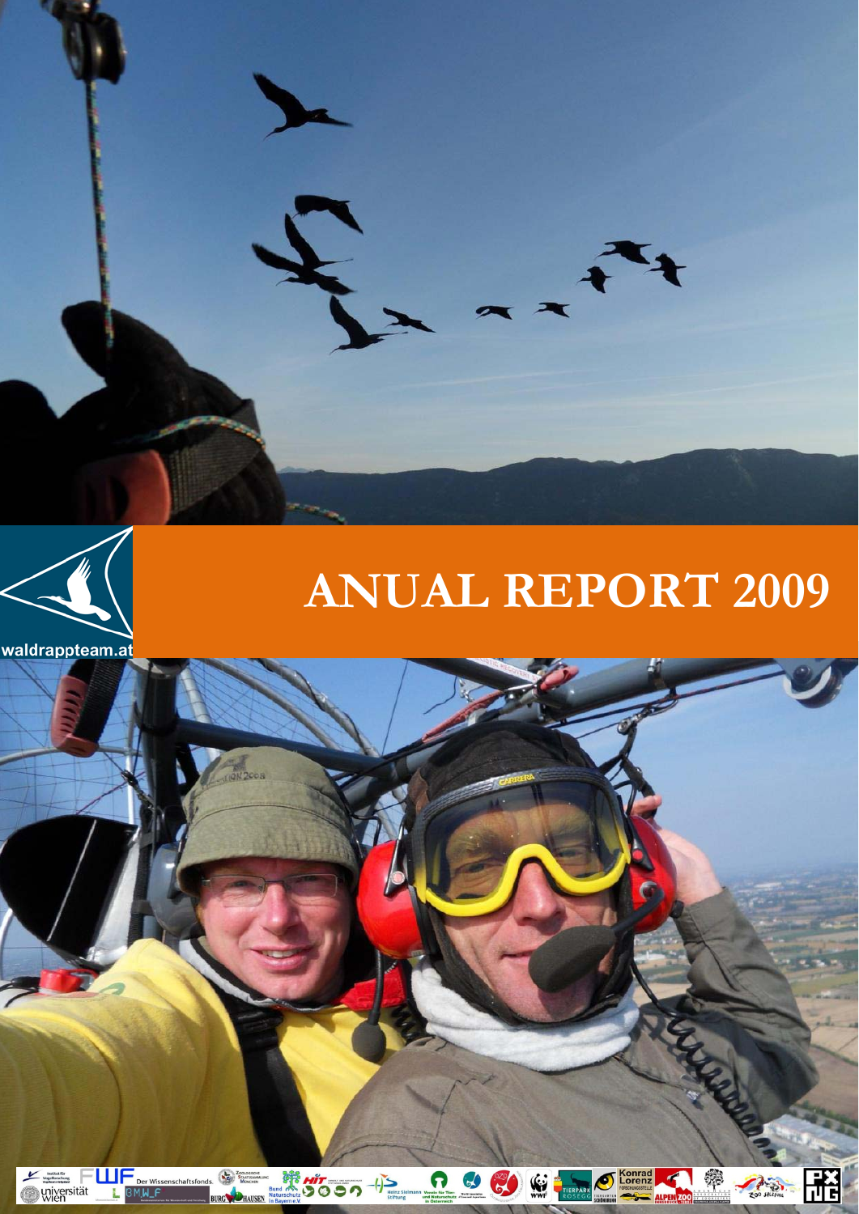

# **ANUAL REPORT 2009**



i.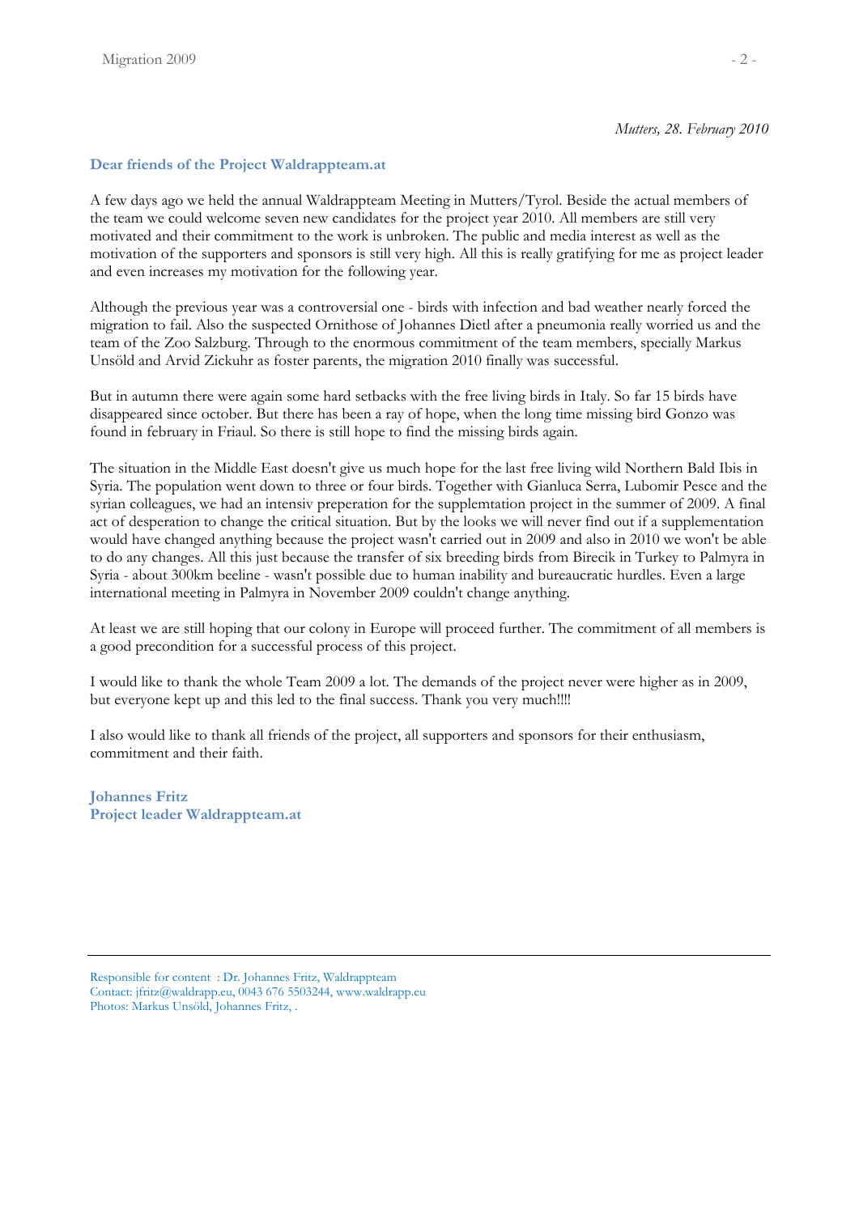# **Dear friends of the Project Waldrappteam.at**

A few days ago we held the annual Waldrappteam Meeting in Mutters/Tyrol. Beside the actual members of the team we could welcome seven new candidates for the project year 2010. All members are still very motivated and their commitment to the work is unbroken. The public and media interest as well as the motivation of the supporters and sponsors is still very high. All this is really gratifying for me as project leader and even increases my motivation for the following year.

Although the previous year was a controversial one - birds with infection and bad weather nearly forced the migration to fail. Also the suspected Ornithose of Johannes Dietl after a pneumonia really worried us and the team of the Zoo Salzburg. Through to the enormous commitment of the team members, specially Markus Unsöld and Arvid Zickuhr as foster parents, the migration 2010 finally was successful.

But in autumn there were again some hard setbacks with the free living birds in Italy. So far 15 birds have disappeared since october. But there has been a ray of hope, when the long time missing bird Gonzo was found in february in Friaul. So there is still hope to find the missing birds again.

The situation in the Middle East doesn't give us much hope for the last free living wild Northern Bald Ibis in Syria. The population went down to three or four birds. Together with Gianluca Serra, Lubomir Pesce and the syrian colleagues, we had an intensiv preperation for the supplemtation project in the summer of 2009. A final act of desperation to change the critical situation. But by the looks we will never find out if a supplementation would have changed anything because the project wasn't carried out in 2009 and also in 2010 we won't be able to do any changes. All this just because the transfer of six breeding birds from Birecik in Turkey to Palmyra in Syria - about 300km beeline - wasn't possible due to human inability and bureaucratic hurdles. Even a large international meeting in Palmyra in November 2009 couldn't change anything.

At least we are still hoping that our colony in Europe will proceed further. The commitment of all members is a good precondition for a successful process of this project.

I would like to thank the whole Team 2009 a lot. The demands of the project never were higher as in 2009, but everyone kept up and this led to the final success. Thank you very much!!!!

I also would like to thank all friends of the project, all supporters and sponsors for their enthusiasm, commitment and their faith.

**Johannes Fritz Project leader Waldrappteam.at** 

Responsible for content : Dr. Johannes Fritz, Waldrappteam Contact: jfritz@waldrapp.eu, 0043 676 5503244, www.waldrapp.eu Photos: Markus Unsöld, Johannes Fritz, .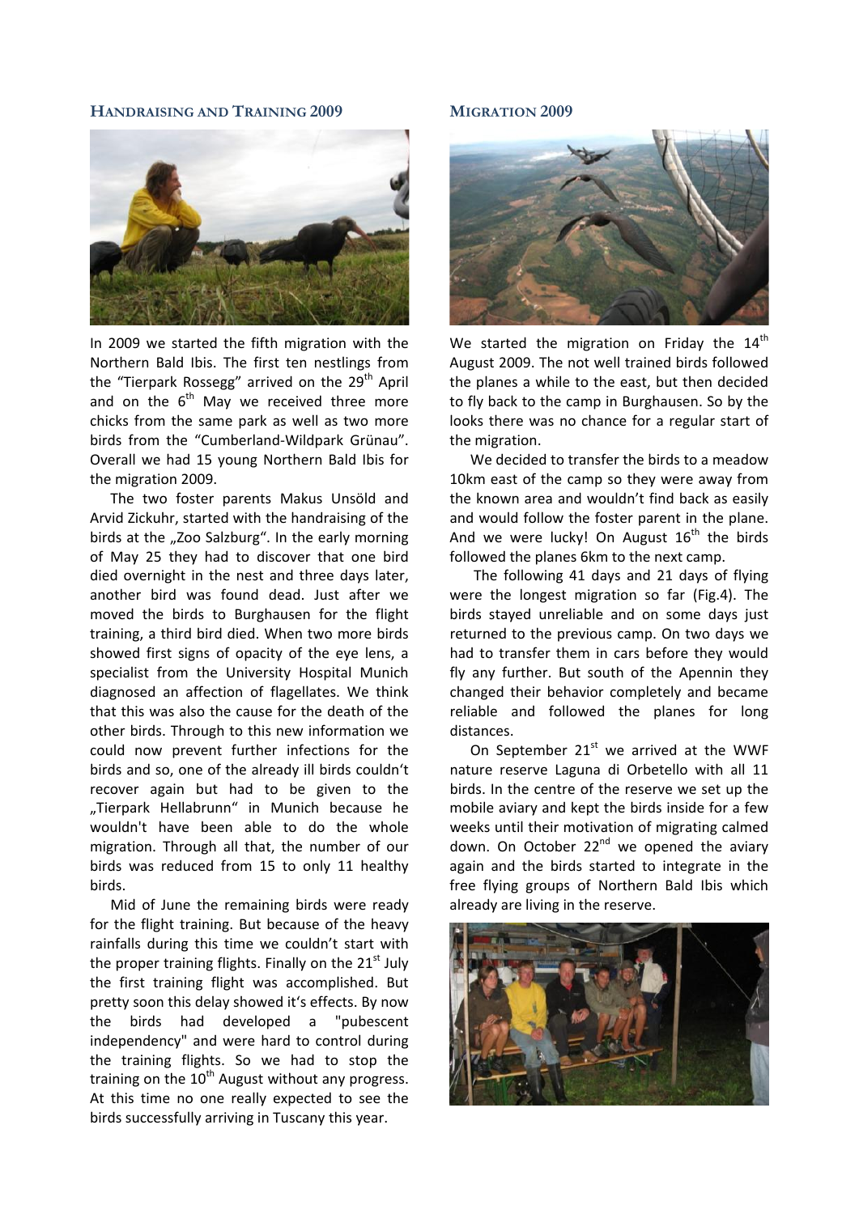## **HANDRAISING AND TRAINING 2009**



In 2009 we started the fifth migration with the Northern Bald Ibis. The first ten nestlings from the "Tierpark Rossegg" arrived on the 29<sup>th</sup> April and on the  $6<sup>th</sup>$  May we received three more chicks from the same park as well as two more birds from the "Cumberland‐Wildpark Grünau". Overall we had 15 young Northern Bald Ibis for the migration 2009.

The two foster parents Makus Unsöld and Arvid Zickuhr, started with the handraising of the birds at the "Zoo Salzburg". In the early morning of May 25 they had to discover that one bird died overnight in the nest and three days later, another bird was found dead. Just after we moved the birds to Burghausen for the flight training, a third bird died. When two more birds showed first signs of opacity of the eye lens, a specialist from the University Hospital Munich diagnosed an affection of flagellates. We think that this was also the cause for the death of the other birds. Through to this new information we could now prevent further infections for the birds and so, one of the already ill birds couldn't recover again but had to be given to the "Tierpark Hellabrunn" in Munich because he wouldn't have been able to do the whole migration. Through all that, the number of our birds was reduced from 15 to only 11 healthy birds.

Mid of June the remaining birds were ready for the flight training. But because of the heavy rainfalls during this time we couldn't start with the proper training flights. Finally on the  $21<sup>st</sup>$  July the first training flight was accomplished. But pretty soon this delay showed it's effects. By now the birds had developed a "pubescent independency" and were hard to control during the training flights. So we had to stop the training on the  $10<sup>th</sup>$  August without any progress. At this time no one really expected to see the birds successfully arriving in Tuscany this year.

#### **MIGRATION 2009**



We started the migration on Friday the  $14<sup>th</sup>$ August 2009. The not well trained birds followed the planes a while to the east, but then decided to fly back to the camp in Burghausen. So by the looks there was no chance for a regular start of the migration.

We decided to transfer the birds to a meadow 10km east of the camp so they were away from the known area and wouldn't find back as easily and would follow the foster parent in the plane. And we were lucky! On August  $16<sup>th</sup>$  the birds followed the planes 6km to the next camp.

The following 41 days and 21 days of flying were the longest migration so far (Fig.4). The birds stayed unreliable and on some days just returned to the previous camp. On two days we had to transfer them in cars before they would fly any further. But south of the Apennin they changed their behavior completely and became reliable and followed the planes for long distances.

On September  $21<sup>st</sup>$  we arrived at the WWF nature reserve Laguna di Orbetello with all 11 birds. In the centre of the reserve we set up the mobile aviary and kept the birds inside for a few weeks until their motivation of migrating calmed down. On October  $22<sup>nd</sup>$  we opened the aviary again and the birds started to integrate in the free flying groups of Northern Bald Ibis which already are living in the reserve.

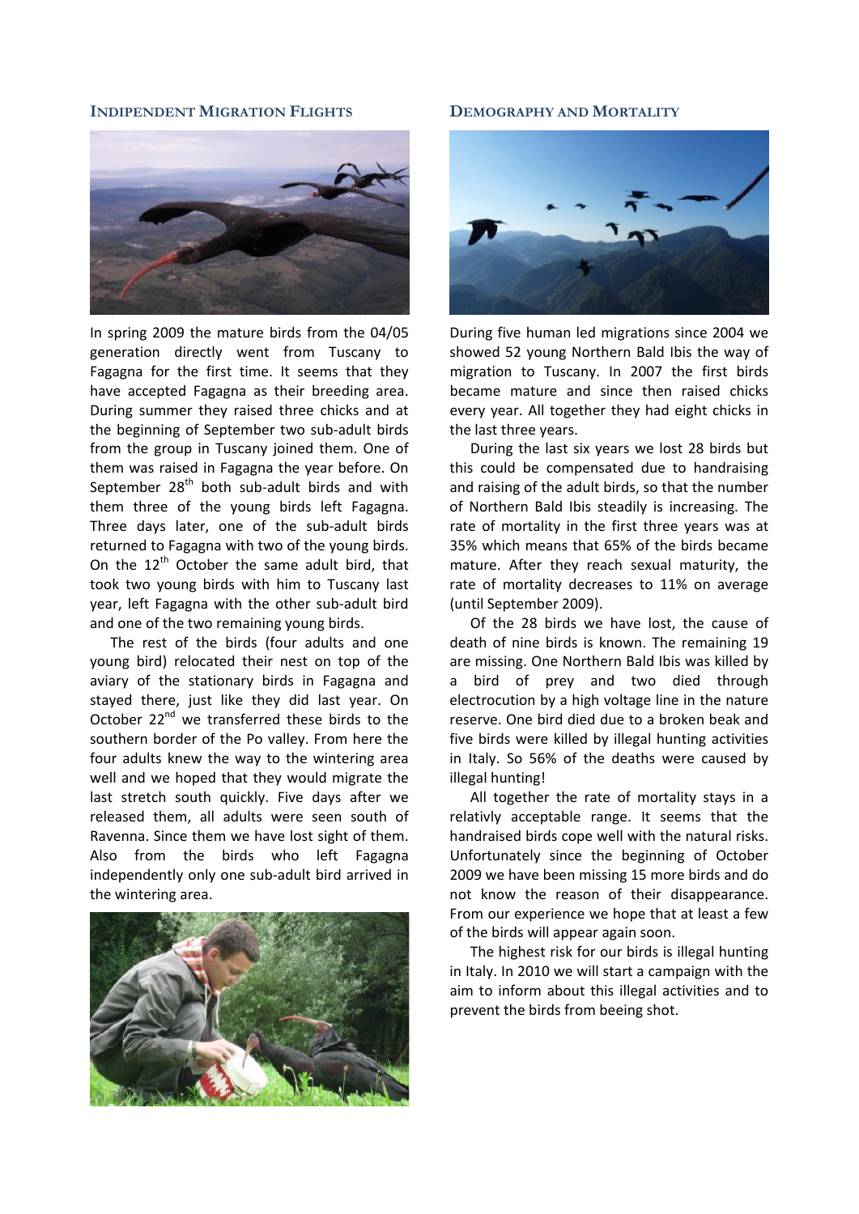## **INDIPENDENT MIGRATION FLIGHTS**



In spring 2009 the mature birds from the 04/05 generation directly went from Tuscany to Fagagna for the first time. It seems that they have accepted Fagagna as their breeding area. During summer they raised three chicks and at the beginning of September two sub‐adult birds from the group in Tuscany joined them. One of them was raised in Fagagna the year before. On September  $28<sup>th</sup>$  both sub-adult birds and with them three of the young birds left Fagagna. Three days later, one of the sub-adult birds returned to Fagagna with two of the young birds. On the  $12<sup>th</sup>$  October the same adult bird, that took two young birds with him to Tuscany last year, left Fagagna with the other sub‐adult bird and one of the two remaining young birds.

The rest of the birds (four adults and one young bird) relocated their nest on top of the aviary of the stationary birds in Fagagna and stayed there, just like they did last year. On October 22<sup>nd</sup> we transferred these birds to the southern border of the Po valley. From here the four adults knew the way to the wintering area well and we hoped that they would migrate the last stretch south quickly. Five days after we released them, all adults were seen south of Ravenna. Since them we have lost sight of them. Also from the birds who left Fagagna independently only one sub‐adult bird arrived in the wintering area.



## **DEMOGRAPHY AND MORTALITY**



During five human led migrations since 2004 we showed 52 young Northern Bald Ibis the way of migration to Tuscany. In 2007 the first birds became mature and since then raised chicks every year. All together they had eight chicks in the last three years.

During the last six years we lost 28 birds but this could be compensated due to handraising and raising of the adult birds, so that the number of Northern Bald Ibis steadily is increasing. The rate of mortality in the first three years was at 35% which means that 65% of the birds became mature. After they reach sexual maturity, the rate of mortality decreases to 11% on average (until September 2009).

Of the 28 birds we have lost, the cause of death of nine birds is known. The remaining 19 are missing. One Northern Bald Ibis was killed by a bird of prey and two died through electrocution by a high voltage line in the nature reserve. One bird died due to a broken beak and five birds were killed by illegal hunting activities in Italy. So 56% of the deaths were caused by illegal hunting!

All together the rate of mortality stays in a relativly acceptable range. It seems that the handraised birds cope well with the natural risks. Unfortunately since the beginning of October 2009 we have been missing 15 more birds and do not know the reason of their disappearance. From our experience we hope that at least a few of the birds will appear again soon.

The highest risk for our birds is illegal hunting in Italy. In 2010 we will start a campaign with the aim to inform about this illegal activities and to prevent the birds from beeing shot.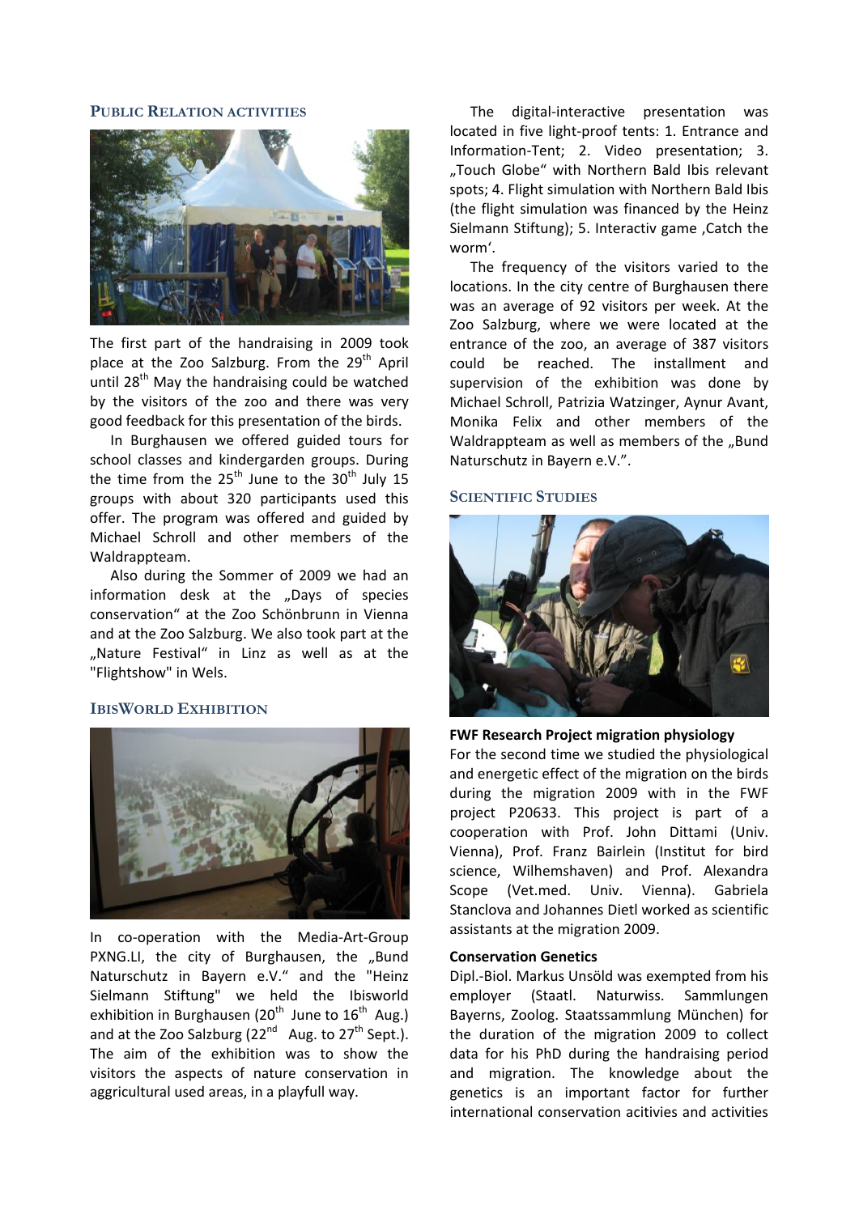# **PUBLIC RELATION ACTIVITIES**



The first part of the handraising in 2009 took place at the Zoo Salzburg. From the 29<sup>th</sup> April until  $28<sup>th</sup>$  May the handraising could be watched by the visitors of the zoo and there was very good feedback for this presentation of the birds.

In Burghausen we offered guided tours for school classes and kindergarden groups. During the time from the  $25<sup>th</sup>$  June to the  $30<sup>th</sup>$  July 15 groups with about 320 participants used this offer. The program was offered and guided by Michael Schroll and other members of the Waldrappteam.

Also during the Sommer of 2009 we had an information desk at the ..Days of species conservation" at the Zoo Schönbrunn in Vienna and at the Zoo Salzburg. We also took part at the "Nature Festival" in Linz as well as at the "Flightshow" in Wels.

# **IBISWORLD EXHIBITION**



In co-operation with the Media-Art-Group PXNG.LI, the city of Burghausen, the "Bund Naturschutz in Bayern e.V." and the "Heinz Sielmann Stiftung" we held the Ibisworld exhibition in Burghausen (20<sup>th</sup> June to  $16^{th}$  Aug.) and at the Zoo Salzburg  $(22^{nd}$  Aug. to  $27^{th}$  Sept.). The aim of the exhibition was to show the visitors the aspects of nature conservation in aggricultural used areas, in a playfull way.

The digital‐interactive presentation was located in five light‐proof tents: 1. Entrance and Information‐Tent; 2. Video presentation; 3. "Touch Globe" with Northern Bald Ibis relevant spots; 4. Flight simulation with Northern Bald Ibis (the flight simulation was financed by the Heinz Sielmann Stiftung); 5. Interactiv game , Catch the worm'.

The frequency of the visitors varied to the locations. In the city centre of Burghausen there was an average of 92 visitors per week. At the Zoo Salzburg, where we were located at the entrance of the zoo, an average of 387 visitors could be reached. The installment and supervision of the exhibition was done by Michael Schroll, Patrizia Watzinger, Aynur Avant, Monika Felix and other members of the Waldrappteam as well as members of the "Bund Naturschutz in Bayern e.V.".

## **SCIENTIFIC STUDIES**



**FWF Research Project migration physiology**

For the second time we studied the physiological and energetic effect of the migration on the birds during the migration 2009 with in the FWF project P20633. This project is part of a cooperation with Prof. John Dittami (Univ. Vienna), Prof. Franz Bairlein (Institut for bird science, Wilhemshaven) and Prof. Alexandra Scope (Vet.med. Univ. Vienna). Gabriela Stanclova and Johannes Dietl worked as scientific assistants at the migration 2009.

## **Conservation Genetics**

Dipl.‐Biol. Markus Unsöld was exempted from his employer (Staatl. Naturwiss. Sammlungen Bayerns, Zoolog. Staatssammlung München) for the duration of the migration 2009 to collect data for his PhD during the handraising period and migration. The knowledge about the genetics is an important factor for further international conservation acitivies and activities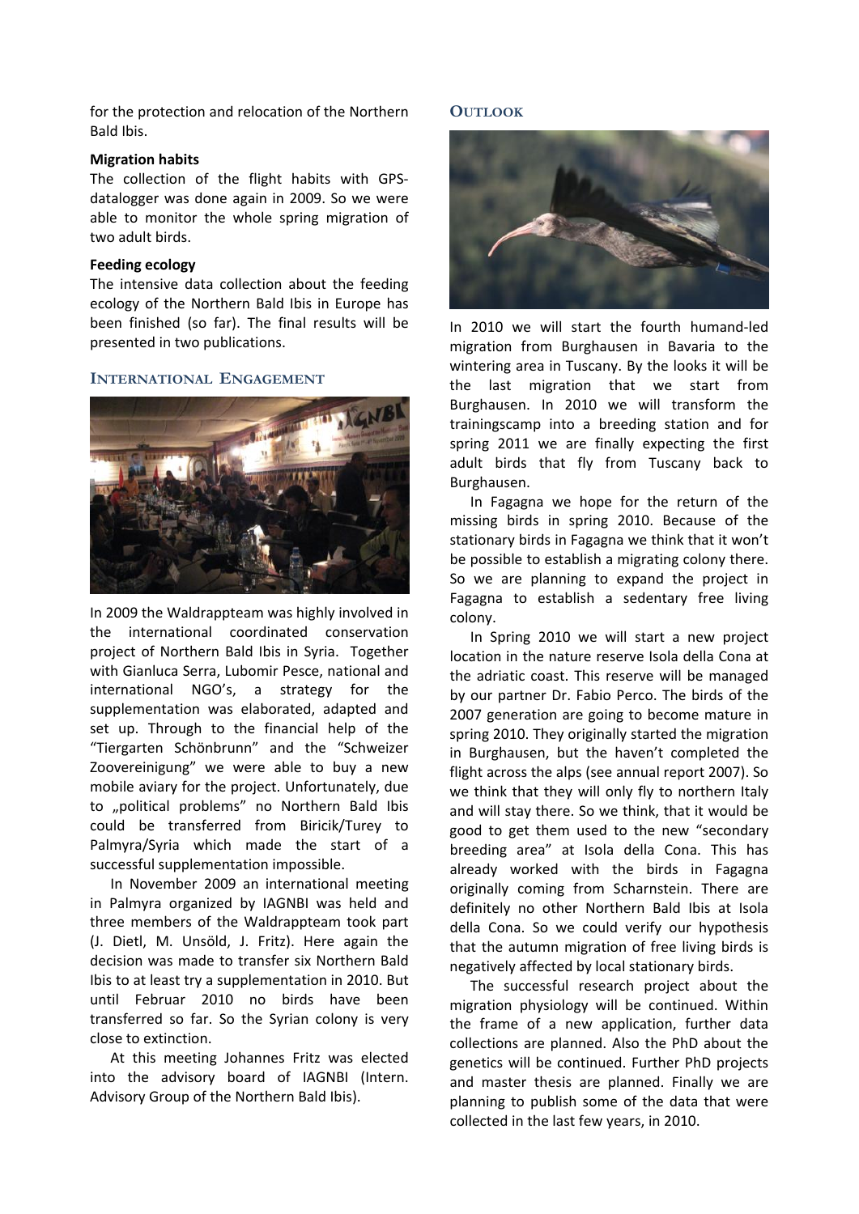for the protection and relocation of the Northern Bald Ibis.

# **Migration habits**

The collection of the flight habits with GPS‐ datalogger was done again in 2009. So we were able to monitor the whole spring migration of two adult birds.

# **Feeding ecology**

The intensive data collection about the feeding ecology of the Northern Bald Ibis in Europe has been finished (so far). The final results will be presented in two publications.

# **INTERNATIONAL ENGAGEMENT**



In 2009 the Waldrappteam was highly involved in the international coordinated conservation project of Northern Bald Ibis in Syria. Together with Gianluca Serra, Lubomir Pesce, national and international NGO's, a strategy for the supplementation was elaborated, adapted and set up. Through to the financial help of the "Tiergarten Schönbrunn" and the "Schweizer Zoovereinigung" we were able to buy a new mobile aviary for the project. Unfortunately, due to "political problems" no Northern Bald Ibis could be transferred from Biricik/Turey to Palmyra/Syria which made the start of a successful supplementation impossible.

In November 2009 an international meeting in Palmyra organized by IAGNBI was held and three members of the Waldrappteam took part (J. Dietl, M. Unsöld, J. Fritz). Here again the decision was made to transfer six Northern Bald Ibis to at least try a supplementation in 2010. But until Februar 2010 no birds have been transferred so far. So the Syrian colony is very close to extinction.

At this meeting Johannes Fritz was elected into the advisory board of IAGNBI (Intern. Advisory Group of the Northern Bald Ibis).

# **OUTLOOK**



In 2010 we will start the fourth humand‐led migration from Burghausen in Bavaria to the wintering area in Tuscany. By the looks it will be the last migration that we start from Burghausen. In 2010 we will transform the trainingscamp into a breeding station and for spring 2011 we are finally expecting the first adult birds that fly from Tuscany back to Burghausen.

In Fagagna we hope for the return of the missing birds in spring 2010. Because of the stationary birds in Fagagna we think that it won't be possible to establish a migrating colony there. So we are planning to expand the project in Fagagna to establish a sedentary free living colony.

In Spring 2010 we will start a new project location in the nature reserve Isola della Cona at the adriatic coast. This reserve will be managed by our partner Dr. Fabio Perco. The birds of the 2007 generation are going to become mature in spring 2010. They originally started the migration in Burghausen, but the haven't completed the flight across the alps (see annual report 2007). So we think that they will only fly to northern Italy and will stay there. So we think, that it would be good to get them used to the new "secondary breeding area" at Isola della Cona. This has already worked with the birds in Fagagna originally coming from Scharnstein. There are definitely no other Northern Bald Ibis at Isola della Cona. So we could verify our hypothesis that the autumn migration of free living birds is negatively affected by local stationary birds.

The successful research project about the migration physiology will be continued. Within the frame of a new application, further data collections are planned. Also the PhD about the genetics will be continued. Further PhD projects and master thesis are planned. Finally we are planning to publish some of the data that were collected in the last few years, in 2010.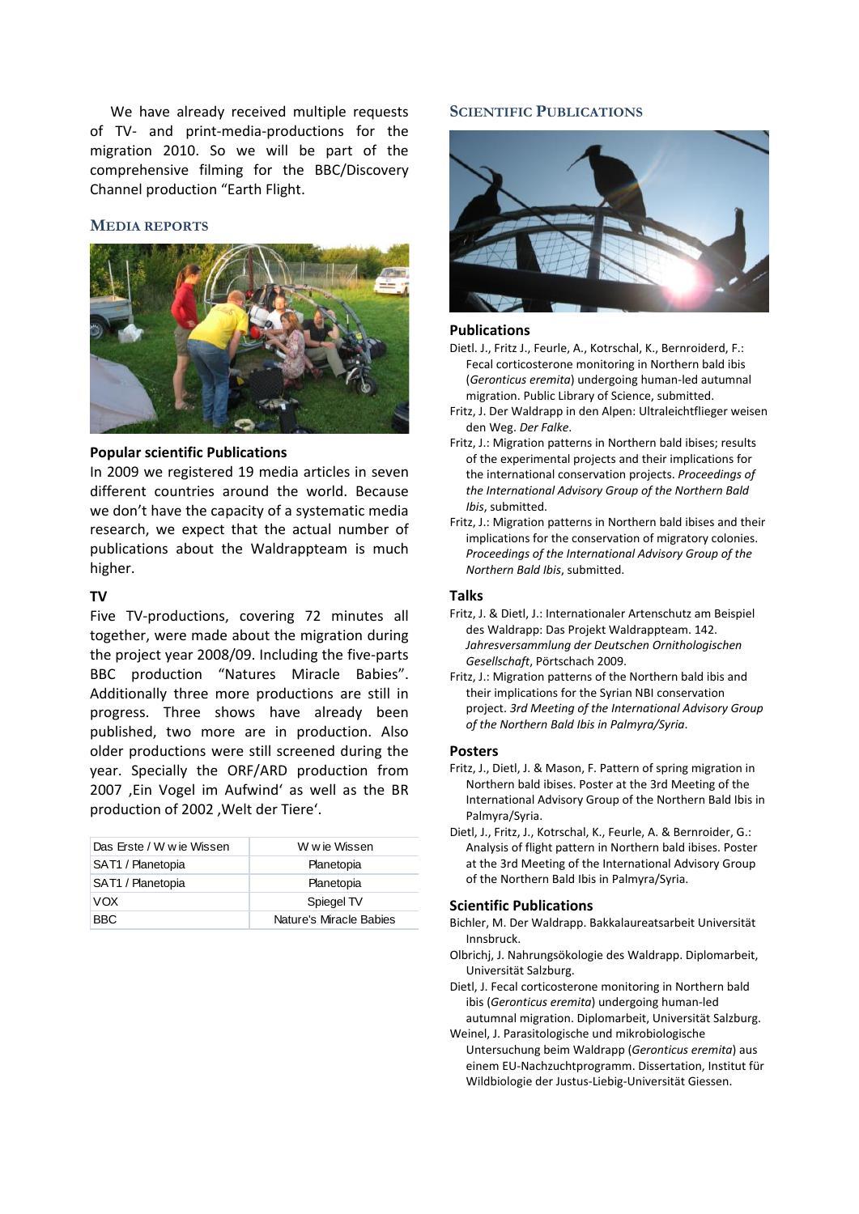We have already received multiple requests of TV‐ and print‐media‐productions for the migration 2010. So we will be part of the comprehensive filming for the BBC/Discovery Channel production "Earth Flight.

## **MEDIA REPORTS**



# **Popular scientific Publications**

In 2009 we registered 19 media articles in seven different countries around the world. Because we don't have the capacity of a systematic media research, we expect that the actual number of publications about the Waldrappteam is much higher.

# $TV$

Five TV-productions, covering 72 minutes all together, were made about the migration during the project year 2008/09. Including the five‐parts BBC production "Natures Miracle Babies". Additionally three more productions are still in progress. Three shows have already been published, two more are in production. Also older productions were still screened during the year. Specially the ORF/ARD production from 2007 , Ein Vogel im Aufwind' as well as the BR production of 2002, Welt der Tiere'.

| Das Erste / W w ie Wissen | W w ie Wissen           |
|---------------------------|-------------------------|
| SAT1 / Planetopia         | Planetopia              |
| SAT1 / Planetopia         | Planetopia              |
| VOX                       | Spiegel TV              |
| BBC.                      | Nature's Miracle Babies |

## **SCIENTIFIC PUBLICATIONS**



#### **Publications**

- Dietl. J., Fritz J., Feurle, A., Kotrschal, K., Bernroiderd, F.: Fecal corticosterone monitoring in Northern bald ibis (*Geronticus eremita*) undergoing human‐led autumnal migration. Public Library of Science, submitted.
- Fritz, J. Der Waldrapp in den Alpen: Ultraleichtflieger weisen den Weg. *Der Falke*.
- Fritz, J.: Migration patterns in Northern bald ibises; results of the experimental projects and their implications for the international conservation projects. *Proceedings of the International Advisory Group of the Northern Bald Ibis*, submitted.
- Fritz, J.: Migration patterns in Northern bald ibises and their implications for the conservation of migratory colonies. *Proceedings of the International Advisory Group of the Northern Bald Ibis*, submitted.

## **Talks**

- Fritz, J. & Dietl, J.: Internationaler Artenschutz am Beispiel des Waldrapp: Das Projekt Waldrappteam. 142. *Jahresversammlung der Deutschen Ornithologischen Gesellschaft*, Pörtschach 2009.
- Fritz, J.: Migration patterns of the Northern bald ibis and their implications for the Syrian NBI conservation project. *3rd Meeting of the International Advisory Group of the Northern Bald Ibis in Palmyra/Syria*.

#### **Posters**

- Fritz, J., Dietl, J. & Mason, F. Pattern of spring migration in Northern bald ibises. Poster at the 3rd Meeting of the International Advisory Group of the Northern Bald Ibis in Palmyra/Syria.
- Dietl, J., Fritz, J., Kotrschal, K., Feurle, A. & Bernroider, G.: Analysis of flight pattern in Northern bald ibises. Poster at the 3rd Meeting of the International Advisory Group of the Northern Bald Ibis in Palmyra/Syria.

#### **Scientific Publications**

- Bichler, M. Der Waldrapp. Bakkalaureatsarbeit Universität Innsbruck.
- Olbrichj, J. Nahrungsökologie des Waldrapp. Diplomarbeit, Universität Salzburg.
- Dietl, J. Fecal corticosterone monitoring in Northern bald ibis (*Geronticus eremita*) undergoing human‐led autumnal migration. Diplomarbeit, Universität Salzburg.
- Weinel, J. Parasitologische und mikrobiologische Untersuchung beim Waldrapp (*Geronticus eremita*) aus einem EU‐Nachzuchtprogramm. Dissertation, Institut für Wildbiologie der Justus‐Liebig‐Universität Giessen.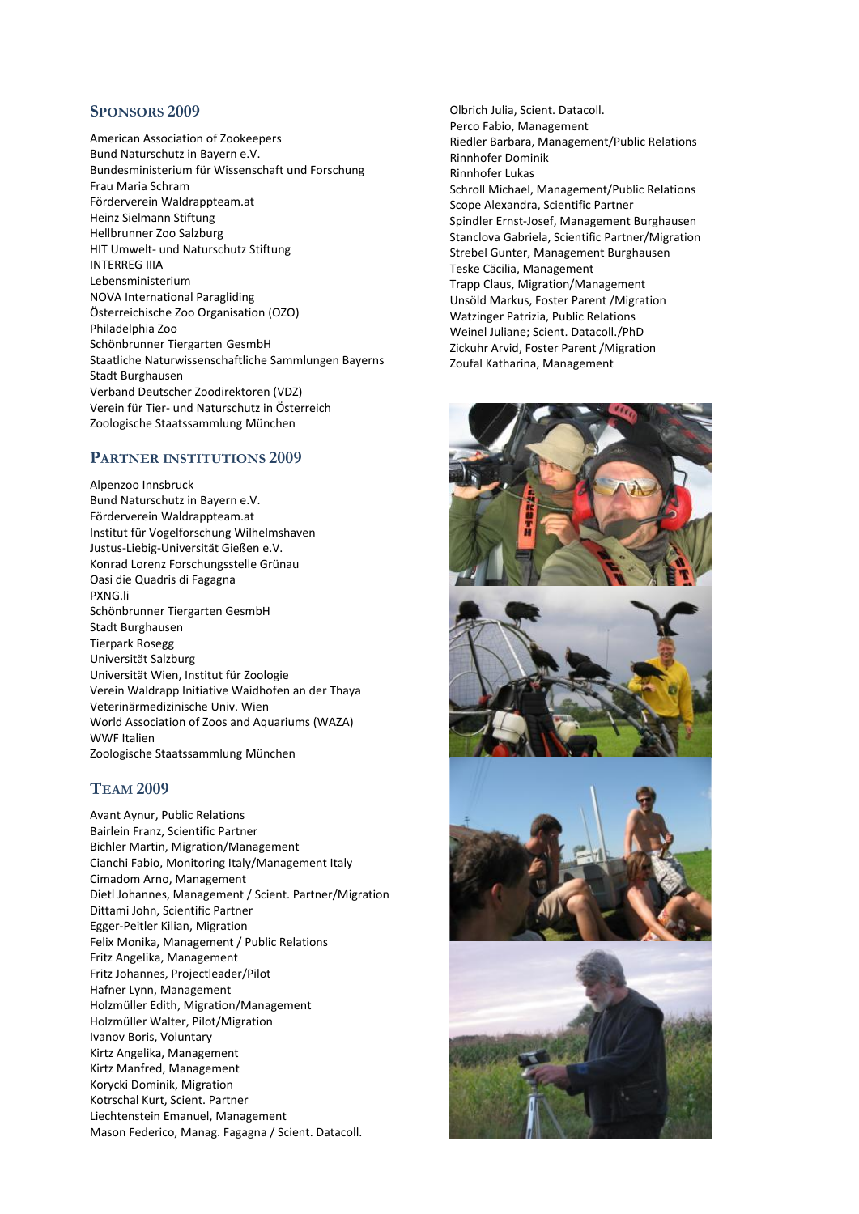# **SPONSORS 2009**

American Association of Zookeepers Bund Naturschutz in Bayern e.V. Bundesministerium für Wissenschaft und Forschung Frau Maria Schram Förderverein Waldrappteam.at Heinz Sielmann Stiftung Hellbrunner Zoo Salzburg HIT Umwelt‐ und Naturschutz Stiftung INTERREG IIIA Lebensministerium NOVA International Paragliding Österreichische Zoo Organisation (OZO) Philadelphia Zoo Schönbrunner Tiergarten GesmbH Staatliche Naturwissenschaftliche Sammlungen Bayerns Stadt Burghausen Verband Deutscher Zoodirektoren (VDZ) Verein für Tier‐ und Naturschutz in Österreich Zoologische Staatssammlung München

## **PARTNER INSTITUTIONS 2009**

Alpenzoo Innsbruck Bund Naturschutz in Bayern e.V. Förderverein Waldrappteam.at Institut für Vogelforschung Wilhelmshaven Justus‐Liebig‐Universität Gießen e.V. Konrad Lorenz Forschungsstelle Grünau Oasi die Quadris di Fagagna PXNG.li Schönbrunner Tiergarten GesmbH Stadt Burghausen Tierpark Rosegg Universität Salzburg Universität Wien, Institut für Zoologie Verein Waldrapp Initiative Waidhofen an der Thaya Veterinärmedizinische Univ. Wien World Association of Zoos and Aquariums (WAZA) WWF Italien Zoologische Staatssammlung München

# **TEAM 2009**

Avant Aynur, Public Relations Bairlein Franz, Scientific Partner Bichler Martin, Migration/Management Cianchi Fabio, Monitoring Italy/Management Italy Cimadom Arno, Management Dietl Johannes, Management / Scient. Partner/Migration Dittami John, Scientific Partner Egger‐Peitler Kilian, Migration Felix Monika, Management / Public Relations Fritz Angelika, Management Fritz Johannes, Projectleader/Pilot Hafner Lynn, Management Holzmüller Edith, Migration/Management Holzmüller Walter, Pilot/Migration Ivanov Boris, Voluntary Kirtz Angelika, Management Kirtz Manfred, Management Korycki Dominik, Migration Kotrschal Kurt, Scient. Partner Liechtenstein Emanuel, Management Mason Federico, Manag. Fagagna / Scient. Datacoll.

Olbrich Julia, Scient. Datacoll. Perco Fabio, Management Riedler Barbara, Management/Public Relations Rinnhofer Dominik Rinnhofer Lukas Schroll Michael, Management/Public Relations Scope Alexandra, Scientific Partner Spindler Ernst‐Josef, Management Burghausen Stanclova Gabriela, Scientific Partner/Migration Strebel Gunter, Management Burghausen Teske Cäcilia, Management Trapp Claus, Migration/Management Unsöld Markus, Foster Parent /Migration Watzinger Patrizia, Public Relations Weinel Juliane; Scient. Datacoll./PhD Zickuhr Arvid, Foster Parent /Migration Zoufal Katharina, Management